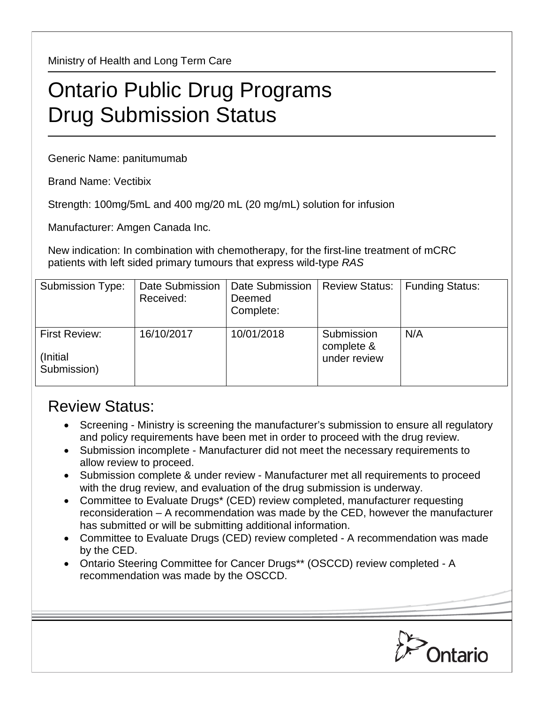Ministry of Health and Long Term Care

## Ontario Public Drug Programs Drug Submission Status

Generic Name: panitumumab

Brand Name: Vectibix

Strength: 100mg/5mL and 400 mg/20 mL (20 mg/mL) solution for infusion

Manufacturer: Amgen Canada Inc.

New indication: In combination with chemotherapy, for the first-line treatment of mCRC patients with left sided primary tumours that express wild-type *RAS*

| <b>Submission Type:</b>                         | Date Submission<br>Received: | Date Submission<br>Deemed<br>Complete: | <b>Review Status:</b>                    | <b>Funding Status:</b> |
|-------------------------------------------------|------------------------------|----------------------------------------|------------------------------------------|------------------------|
| <b>First Review:</b><br>(Initial<br>Submission) | 16/10/2017                   | 10/01/2018                             | Submission<br>complete &<br>under review | N/A                    |

## Review Status:

- Screening Ministry is screening the manufacturer's submission to ensure all regulatory and policy requirements have been met in order to proceed with the drug review.
- Submission incomplete Manufacturer did not meet the necessary requirements to allow review to proceed.
- Submission complete & under review Manufacturer met all requirements to proceed with the drug review, and evaluation of the drug submission is underway.
- Committee to Evaluate Drugs\* (CED) review completed, manufacturer requesting reconsideration – A recommendation was made by the CED, however the manufacturer has submitted or will be submitting additional information.
- Committee to Evaluate Drugs (CED) review completed A recommendation was made by the CED.
- Ontario Steering Committee for Cancer Drugs\*\* (OSCCD) review completed A recommendation was made by the OSCCD.